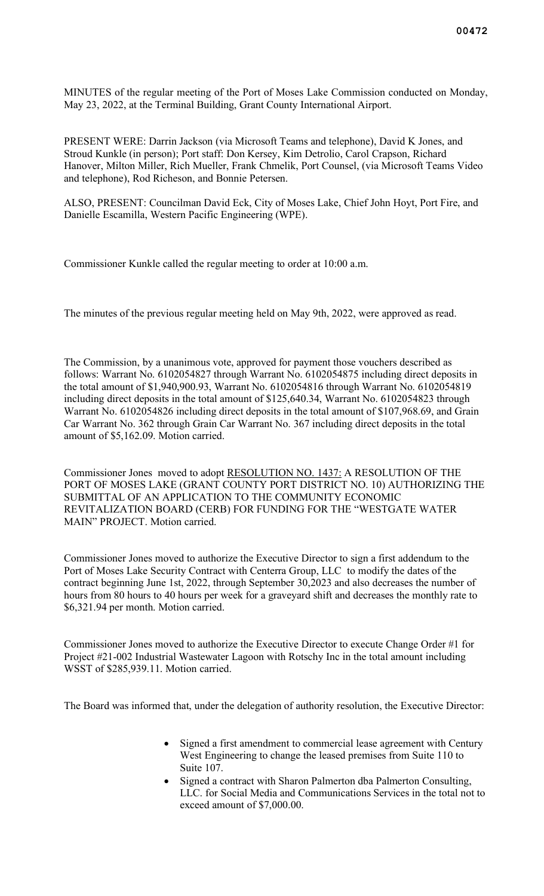MINUTES of the regular meeting of the Port of Moses Lake Commission conducted on Monday, May 23, 2022, at the Terminal Building, Grant County International Airport.

PRESENT WERE: Darrin Jackson (via Microsoft Teams and telephone), David K Jones, and Stroud Kunkle (in person); Port staff: Don Kersey, Kim Detrolio, Carol Crapson, Richard Hanover, Milton Miller, Rich Mueller, Frank Chmelik, Port Counsel, (via Microsoft Teams Video and telephone), Rod Richeson, and Bonnie Petersen.

ALSO, PRESENT: Councilman David Eck, City of Moses Lake, Chief John Hoyt, Port Fire, and Danielle Escamilla, Western Pacific Engineering (WPE).

Commissioner Kunkle called the regular meeting to order at 10:00 a.m.

The minutes of the previous regular meeting held on May 9th, 2022, were approved as read.

The Commission, by a unanimous vote, approved for payment those vouchers described as follows: Warrant No. 6102054827 through Warrant No. 6102054875 including direct deposits in the total amount of \$1,940,900.93, Warrant No. 6102054816 through Warrant No. 6102054819 including direct deposits in the total amount of \$125,640.34, Warrant No. 6102054823 through Warrant No. 6102054826 including direct deposits in the total amount of \$107,968.69, and Grain Car Warrant No. 362 through Grain Car Warrant No. 367 including direct deposits in the total amount of \$5,162.09. Motion carried.

Commissioner Jones moved to adopt RESOLUTION NO. 1437: A RESOLUTION OF THE PORT OF MOSES LAKE (GRANT COUNTY PORT DISTRICT NO. 10) AUTHORIZING THE SUBMITTAL OF AN APPLICATION TO THE COMMUNITY ECONOMIC REVITALIZATION BOARD (CERB) FOR FUNDING FOR THE "WESTGATE WATER MAIN" PROJECT. Motion carried.

Commissioner Jones moved to authorize the Executive Director to sign a first addendum to the Port of Moses Lake Security Contract with Centerra Group, LLC to modify the dates of the contract beginning June 1st, 2022, through September 30,2023 and also decreases the number of hours from 80 hours to 40 hours per week for a graveyard shift and decreases the monthly rate to \$6,321.94 per month. Motion carried.

Commissioner Jones moved to authorize the Executive Director to execute Change Order #1 for Project #21-002 Industrial Wastewater Lagoon with Rotschy Inc in the total amount including WSST of \$285,939.11. Motion carried.

The Board was informed that, under the delegation of authority resolution, the Executive Director:

- Signed a first amendment to commercial lease agreement with Century West Engineering to change the leased premises from Suite 110 to Suite 107.
- Signed a contract with Sharon Palmerton dba Palmerton Consulting, LLC. for Social Media and Communications Services in the total not to exceed amount of \$7,000.00.